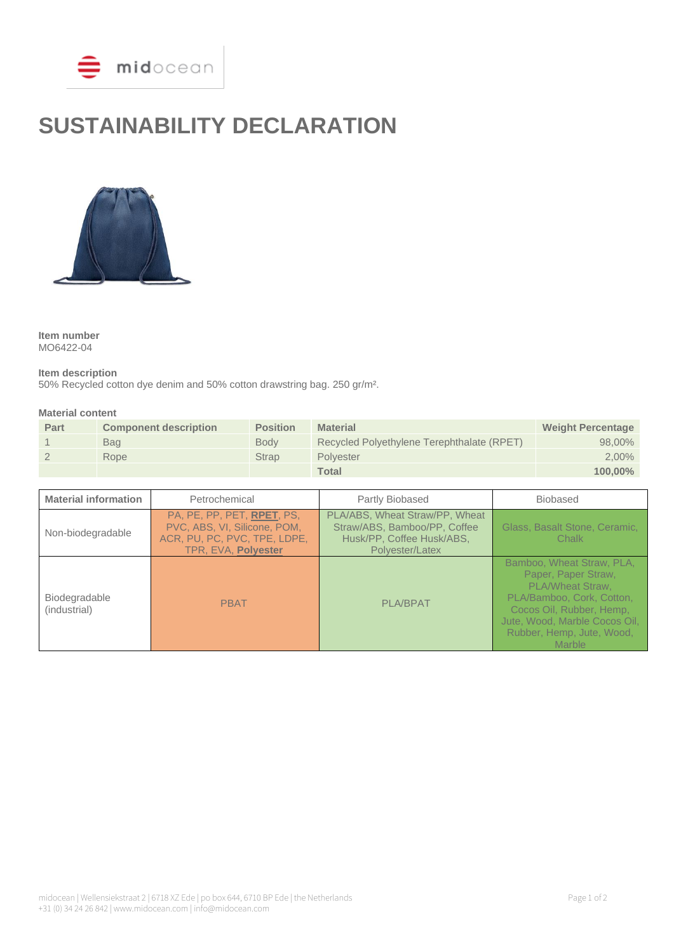

# **SUSTAINABILITY DECLARATION**



**Item number** MO6422-04

**Item description**

50% Recycled cotton dye denim and 50% cotton drawstring bag. 250 gr/m².

#### **Material content**

| Part | <b>Component description</b> | <b>Position</b> | <b>Material</b>                            | <b>Weight Percentage</b> |
|------|------------------------------|-----------------|--------------------------------------------|--------------------------|
|      | Bag                          | <b>Body</b>     | Recycled Polyethylene Terephthalate (RPET) | 98.00%                   |
|      | Rope                         | Strap           | Polvester                                  | $2,00\%$                 |
|      |                              |                 | <b>Total</b>                               | $100.00\%$               |

| <b>Material information</b>   | Petrochemical                                                                                                     | Partly Biobased                                                                                                | <b>Biobased</b>                                                                                                                                                                                                     |
|-------------------------------|-------------------------------------------------------------------------------------------------------------------|----------------------------------------------------------------------------------------------------------------|---------------------------------------------------------------------------------------------------------------------------------------------------------------------------------------------------------------------|
| Non-biodegradable             | PA, PE, PP, PET, RPET, PS,<br>PVC, ABS, VI, Silicone, POM,<br>ACR, PU, PC, PVC, TPE, LDPE,<br>TPR, EVA, Polyester | PLA/ABS, Wheat Straw/PP, Wheat<br>Straw/ABS, Bamboo/PP, Coffee<br>Husk/PP, Coffee Husk/ABS,<br>Polyester/Latex | Glass, Basalt Stone, Ceramic,<br>Chalk                                                                                                                                                                              |
| Biodegradable<br>(industrial) | <b>PBAT</b>                                                                                                       | <b>PLA/BPAT</b>                                                                                                | Bamboo, Wheat Straw, PLA,<br>Paper, Paper Straw,<br><b>PLA/Wheat Straw.</b><br>PLA/Bamboo, Cork, Cotton,<br>Cocos Oil, Rubber, Hemp,<br>Jute, Wood, Marble Cocos Oil,<br>Rubber, Hemp, Jute, Wood,<br><b>Marble</b> |